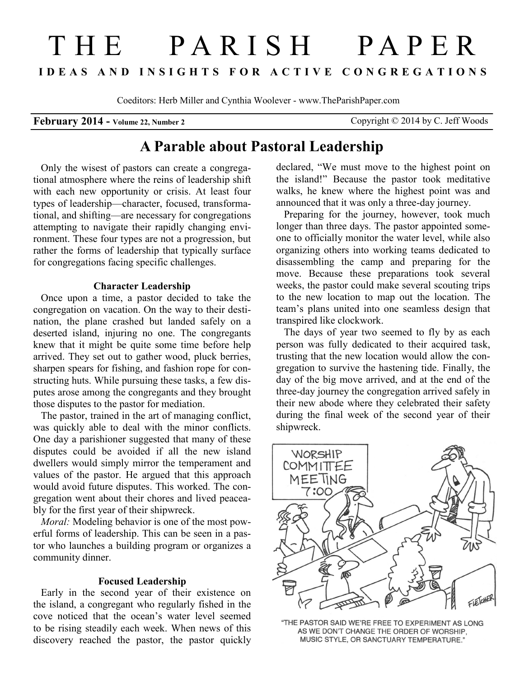# THE PARISH PAPER **I D E A S A N D I N S I G H T S F O R A C T I V E C O N G R E G A T I O N S**

Coeditors: Herb Miller and Cynthia Woolever - www.TheParishPaper.com

# **February 2014 - Volume 22, Number 2** Copyright © 2014 by C. Jeff Woods

# **A Parable about Pastoral Leadership**

Only the wisest of pastors can create a congregational atmosphere where the reins of leadership shift with each new opportunity or crisis. At least four types of leadership—character, focused, transformational, and shifting—are necessary for congregations attempting to navigate their rapidly changing environment. These four types are not a progression, but rather the forms of leadership that typically surface for congregations facing specific challenges.

#### **Character Leadership**

Once upon a time, a pastor decided to take the congregation on vacation. On the way to their destination, the plane crashed but landed safely on a deserted island, injuring no one. The congregants knew that it might be quite some time before help arrived. They set out to gather wood, pluck berries, sharpen spears for fishing, and fashion rope for constructing huts. While pursuing these tasks, a few disputes arose among the congregants and they brought those disputes to the pastor for mediation.

The pastor, trained in the art of managing conflict, was quickly able to deal with the minor conflicts. One day a parishioner suggested that many of these disputes could be avoided if all the new island dwellers would simply mirror the temperament and values of the pastor. He argued that this approach would avoid future disputes. This worked. The congregation went about their chores and lived peaceably for the first year of their shipwreck.

*Moral:* Modeling behavior is one of the most powerful forms of leadership. This can be seen in a pastor who launches a building program or organizes a community dinner.

#### **Focused Leadership**

Early in the second year of their existence on the island, a congregant who regularly fished in the cove noticed that the ocean's water level seemed to be rising steadily each week. When news of this discovery reached the pastor, the pastor quickly

declared, "We must move to the highest point on the island!" Because the pastor took meditative walks, he knew where the highest point was and announced that it was only a three-day journey.

Preparing for the journey, however, took much longer than three days. The pastor appointed someone to officially monitor the water level, while also organizing others into working teams dedicated to disassembling the camp and preparing for the move. Because these preparations took several weeks, the pastor could make several scouting trips to the new location to map out the location. The team's plans united into one seamless design that transpired like clockwork.

The days of year two seemed to fly by as each person was fully dedicated to their acquired task, trusting that the new location would allow the congregation to survive the hastening tide. Finally, the day of the big move arrived, and at the end of the three-day journey the congregation arrived safely in their new abode where they celebrated their safety during the final week of the second year of their shipwreck.



"THE PASTOR SAID WE'RE FREE TO EXPERIMENT AS LONG AS WE DON'T CHANGE THE ORDER OF WORSHIP, MUSIC STYLE, OR SANCTUARY TEMPERATURE."